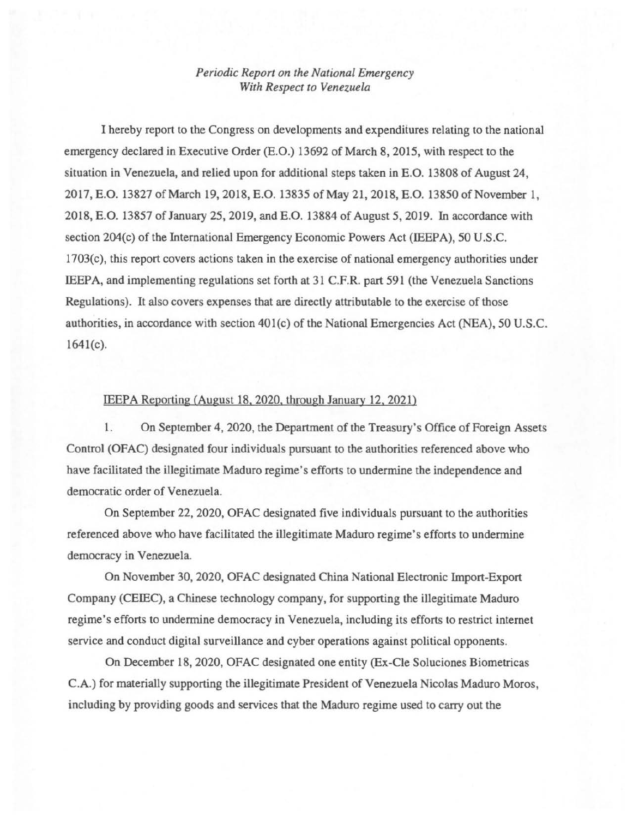## *Periodic Report on the National Emergency With Respect to Venezuela*

I hereby report to the Congress on developments and expenditures relating to the national emergency declared in Executive Order (E.O.) 13692 of March 8, 2015, with respect to the situation in Venezuela, and relied upon for additional steps taken in E.O. 13808 of August 24, 2017, E.O. 13827 of March 19,2018, E.O. 13835 of May 21,2018, E.O. 13850 of November 1, 2018, E.O. 13857 of January 25, 2019, and E.O. 13884 of August 5, 2019. In accordance with section 204(c) of the International Emergency Economic Powers Act (IEEPA), 50 U.S.C. 1703(c), this report covers actions taken in the exercise of national emergency authorities under IEEPA, and implementing regulations set forth at 31 C.F.R. part 591 (the Venezuela Sanctions Regulations). It also covers expenses that are directly attributable to the exercise of those authorities, in accordance with section 401(c) of the National Emergencies Act (NEA), 50 U.S.C.  $1641(c)$ .

## IEEPA Reporting (August 18, 2020, through January 12. 2021)

1. On September 4, 2020, the Department of the Treasury's Office of Foreign Assets Control (OFAC) designated four individuals pursuant to the authorities referenced above who have facilitated the illegitimate Maduro regime's efforts to undermine the independence and democratic order of Venezuela.

On September 22, 2020, OFAC designated five individuals pursuant to the authorities referenced above who have facilitated the illegitimate Maduro regime's efforts to undermine democracy in Venezuela.

On November 30, 2020, OFAC designated China National Electronic Import-Export Company (CEIEC), a Chinese technology company, for supporting the illegitimate Maduro regime's efforts to undermine democracy in Venezuela, including its efforts to restrict internet service and conduct digital surveillance and cyber operations against political opponents.

On December 18, 2020, OFAC designated one entity (Ex-Cle Soluciones Biometricas C.A.) for materially supporting the illegitimate President of Venezuela Nicolas Maduro Moros, including by providing goods and services that the Maduro regime used to carry out the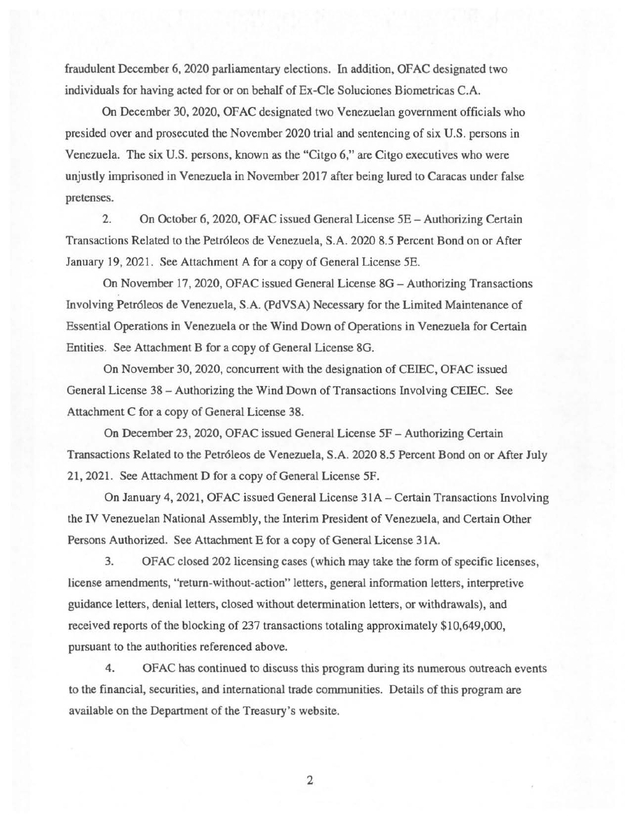fraudulent December 6, 2020 parliamentary elections. In addition, OFAC designated two individuals for having acted for or on behalf of Ex-Cle Soluciones Biometricas C. A.

On December 30,2020, OFAC designated two Venezuelan government officials who presided over and prosecuted the November 2020 trial and sentencing of six U.S. persons in Venezuela. The six U.S. persons, known as the "Citgo 6," are Citgo executives who were unjustly imprisoned in Venezuela in November 2017 after being lured to Caracas under false pretenses.

2. On October 6, 2020, OFAC issued General License SE- Authorizing Certain Transactions Related to the Petr6leos de Venezuela, S.A. 2020 8.S Percent Bond on or After January 19, 2021. See Attachment A for a copy of General License SE.

On November 17, 2020, OFAC issued General License 8G - Authorizing Transactions Involving Petr6leos de Venezuela, S.A. (PdVSA) Necessary for the Limited Maintenance of Essential Operations in Venezuela or the Wind Down of Operations in Venezuela for Certain Entities. See Attachment B for a copy of General License 8G.

On November 30, 2020, concurrent with the designation of CEIEC, OFAC issued General License 38 -Authorizing the Wind Down of Transactions Involving CEIEC. See Attachment C for a copy of General License 38.

On December 23, 2020, OFAC issued General License SF- Authorizing Certain Transactions Related to the Petr6leos de Venezuela, S.A. 2020 8.S Percent Bond on or After July 21,2021. See Attachment D for a copy of General License SF.

On January 4, 2021, OFAC issued General License 31A-Certain Transactions Involving the IV Venezuelan National Assembly, the Interim President of Venezuela, and Certain Other Persons Authorized. See Attachment E for a copy of General License 31A.

3. OFAC closed 202licensing cases (which may take the form of specific licenses, license amendments, "return-without-action" letters, general information letters, interpretive guidance letters, denial letters, closed without determination letters, or withdrawals), and received reports of the blocking of 237 transactions totaling approximately \$10,649,000, pursuant to the authorities referenced above.

4. OFAC has continued to discuss this program during its numerous outreach events to the financial, securities, and international trade communities. Details of this program are available on the Department of the Treasury's website.

2